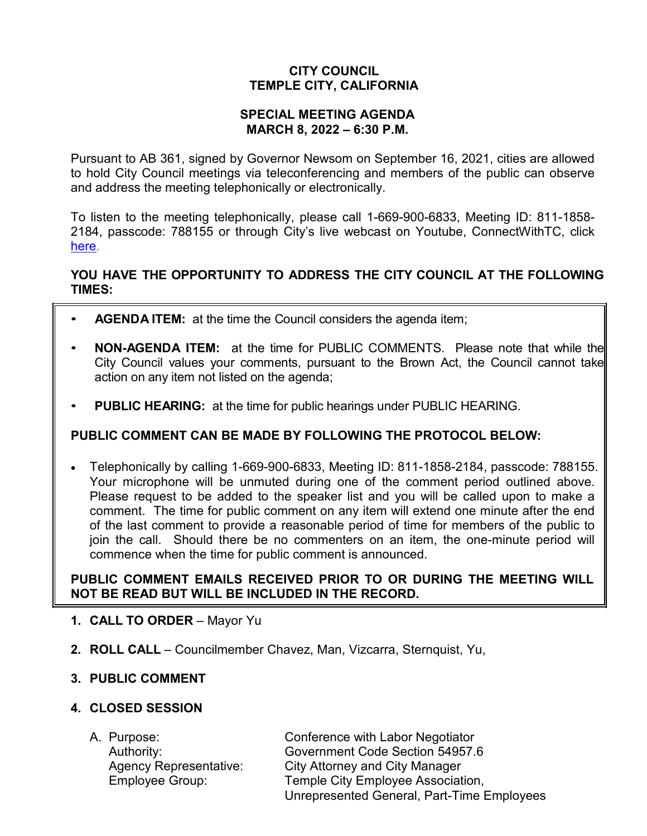# **CITY COUNCIL TEMPLE CITY, CALIFORNIA**

### **SPECIAL MEETING AGENDA MARCH 8, 2022 – 6:30 P.M.**

Pursuant to AB 361, signed by Governor Newsom on September 16, 2021, cities are allowed to hold City Council meetings via teleconferencing and members of the public can observe and address the meeting telephonically or electronically.

To listen to the meeting telephonically, please call 1-669-900-6833, Meeting ID: 811-1858- 2184, passcode: 788155 or through City's live webcast on Youtube, ConnectWithTC, click [here.](https://www.ci.temple-city.ca.us/516/Meeting-Webcast)

## **YOU HAVE THE OPPORTUNITY TO ADDRESS THE CITY COUNCIL AT THE FOLLOWING TIMES:**

- **AGENDA ITEM:** at the time the Council considers the agenda item;
- **NON-AGENDA ITEM:** at the time for PUBLIC COMMENTS. Please note that while the City Council values your comments, pursuant to the Brown Act, the Council cannot take action on any item not listed on the agenda;
- **PUBLIC HEARING:** at the time for public hearings under PUBLIC HEARING.

## **PUBLIC COMMENT CAN BE MADE BY FOLLOWING THE PROTOCOL BELOW:**

• Telephonically by calling 1-669-900-6833, Meeting ID: 811-1858-2184, passcode: 788155. Your microphone will be unmuted during one of the comment period outlined above. Please request to be added to the speaker list and you will be called upon to make a comment. The time for public comment on any item will extend one minute after the end of the last comment to provide a reasonable period of time for members of the public to join the call. Should there be no commenters on an item, the one-minute period will commence when the time for public comment is announced.

## **PUBLIC COMMENT EMAILS RECEIVED PRIOR TO OR DURING THE MEETING WILL NOT BE READ BUT WILL BE INCLUDED IN THE RECORD.**

- **1. CALL TO ORDER**  Mayor Yu
- **2. ROLL CALL**  Councilmember Chavez, Man, Vizcarra, Sternquist, Yu,

### **3. PUBLIC COMMENT**

### **4. CLOSED SESSION**

| A. Purpose:                   | Conference with Labor Negotiator           |
|-------------------------------|--------------------------------------------|
| Authority:                    | Government Code Section 54957.6            |
| <b>Agency Representative:</b> | <b>City Attorney and City Manager</b>      |
| <b>Employee Group:</b>        | Temple City Employee Association,          |
|                               | Unrepresented General, Part-Time Employees |